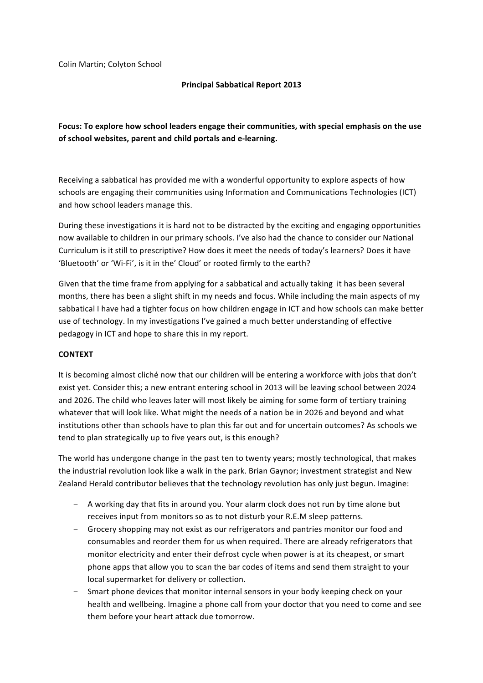Colin Martin; Colyton School

# **Principal Sabbatical Report 2013**

# Focus: To explore how school leaders engage their communities, with special emphasis on the use of school websites, parent and child portals and e-learning.

Receiving a sabbatical has provided me with a wonderful opportunity to explore aspects of how schools are engaging their communities using Information and Communications Technologies (ICT) and how school leaders manage this.

During these investigations it is hard not to be distracted by the exciting and engaging opportunities now available to children in our primary schools. I've also had the chance to consider our National Curriculum is it still to prescriptive? How does it meet the needs of today's learners? Does it have 'Bluetooth' or 'Wi-Fi', is it in the' Cloud' or rooted firmly to the earth?

Given that the time frame from applying for a sabbatical and actually taking it has been several months, there has been a slight shift in my needs and focus. While including the main aspects of my sabbatical I have had a tighter focus on how children engage in ICT and how schools can make better use of technology. In my investigations I've gained a much better understanding of effective pedagogy in ICT and hope to share this in my report.

## **CONTEXT**

It is becoming almost cliché now that our children will be entering a workforce with jobs that don't exist yet. Consider this; a new entrant entering school in 2013 will be leaving school between 2024 and 2026. The child who leaves later will most likely be aiming for some form of tertiary training whatever that will look like. What might the needs of a nation be in 2026 and beyond and what institutions other than schools have to plan this far out and for uncertain outcomes? As schools we tend to plan strategically up to five years out, is this enough?

The world has undergone change in the past ten to twenty years; mostly technological, that makes the industrial revolution look like a walk in the park. Brian Gaynor; investment strategist and New Zealand Herald contributor believes that the technology revolution has only just begun. Imagine:

- $-$  A working day that fits in around you. Your alarm clock does not run by time alone but receives input from monitors so as to not disturb your R.E.M sleep patterns.
- Grocery shopping may not exist as our refrigerators and pantries monitor our food and consumables and reorder them for us when required. There are already refrigerators that monitor electricity and enter their defrost cycle when power is at its cheapest, or smart phone apps that allow you to scan the bar codes of items and send them straight to your local supermarket for delivery or collection.
- Smart phone devices that monitor internal sensors in your body keeping check on your health and wellbeing. Imagine a phone call from your doctor that you need to come and see them before your heart attack due tomorrow.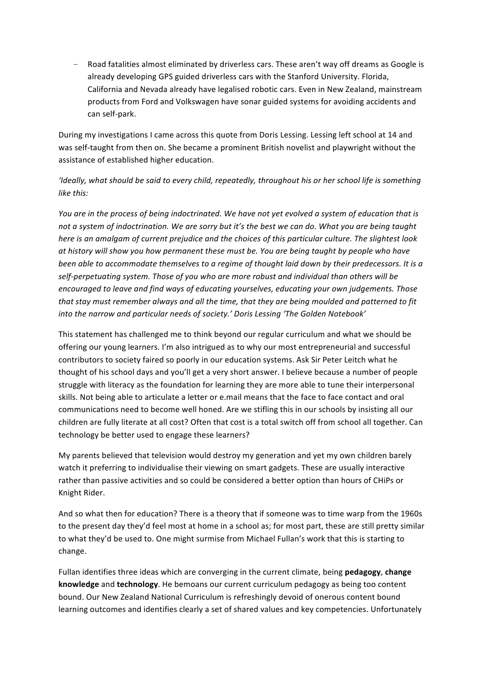Road fatalities almost eliminated by driverless cars. These aren't way off dreams as Google is already developing GPS guided driverless cars with the Stanford University. Florida, California and Nevada already have legalised robotic cars. Even in New Zealand, mainstream products from Ford and Volkswagen have sonar guided systems for avoiding accidents and can self-park.

During my investigations I came across this quote from Doris Lessing. Lessing left school at 14 and was self-taught from then on. She became a prominent British novelist and playwright without the assistance of established higher education.

# 'Ideally, what should be said to every child, repeatedly, throughout his or her school life is something *like* this:

*You are in the process of being indoctrinated. We have not yet evolved a system of education that is* not a system of indoctrination. We are sorry but it's the best we can do. What you are being taught here is an amalgam of current prejudice and the choices of this particular culture. The slightest look *at)history)will)show)you)how)permanent)these)must)be.)You)are)being)taught)by)people)who)have)* been able to accommodate themselves to a regime of thought laid down by their predecessors. It is a self-perpetuating system. Those of you who are more robust and individual than others will be encouraged to leave and find ways of educating yourselves, educating your own judgements. Those that stay must remember always and all the time, that they are being moulded and patterned to fit into the narrow and particular needs of society.' Doris Lessing 'The Golden Notebook'

This statement has challenged me to think beyond our regular curriculum and what we should be offering our young learners. I'm also intrigued as to why our most entrepreneurial and successful contributors to society faired so poorly in our education systems. Ask Sir Peter Leitch what he thought of his school days and you'll get a very short answer. I believe because a number of people struggle with literacy as the foundation for learning they are more able to tune their interpersonal skills. Not being able to articulate a letter or e.mail means that the face to face contact and oral communications need to become well honed. Are we stifling this in our schools by insisting all our children are fully literate at all cost? Often that cost is a total switch off from school all together. Can technology be better used to engage these learners?

My parents believed that television would destroy my generation and yet my own children barely watch it preferring to individualise their viewing on smart gadgets. These are usually interactive rather than passive activities and so could be considered a better option than hours of CHiPs or Knight Rider.

And so what then for education? There is a theory that if someone was to time warp from the 1960s to the present day they'd feel most at home in a school as; for most part, these are still pretty similar to what they'd be used to. One might surmise from Michael Fullan's work that this is starting to change.

Fullan identifies three ideas which are converging in the current climate, being pedagogy, change **knowledge** and **technology**. He bemoans our current curriculum pedagogy as being too content bound. Our New Zealand National Curriculum is refreshingly devoid of onerous content bound learning outcomes and identifies clearly a set of shared values and key competencies. Unfortunately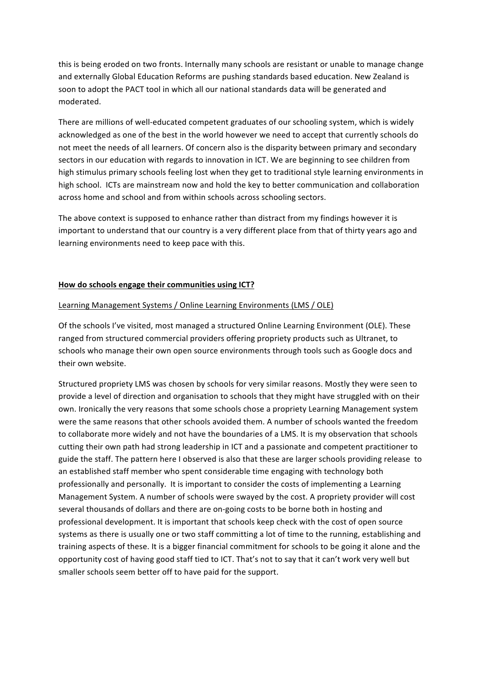this is being eroded on two fronts. Internally many schools are resistant or unable to manage change and externally Global Education Reforms are pushing standards based education. New Zealand is soon to adopt the PACT tool in which all our national standards data will be generated and moderated.

There are millions of well-educated competent graduates of our schooling system, which is widely acknowledged as one of the best in the world however we need to accept that currently schools do not meet the needs of all learners. Of concern also is the disparity between primary and secondary sectors in our education with regards to innovation in ICT. We are beginning to see children from high stimulus primary schools feeling lost when they get to traditional style learning environments in high school. ICTs are mainstream now and hold the key to better communication and collaboration across home and school and from within schools across schooling sectors.

The above context is supposed to enhance rather than distract from my findings however it is important to understand that our country is a very different place from that of thirty years ago and learning environments need to keep pace with this.

## How do schools engage their communities using ICT?

#### Learning Management Systems / Online Learning Environments (LMS / OLE)

Of the schools I've visited, most managed a structured Online Learning Environment (OLE). These ranged from structured commercial providers offering propriety products such as Ultranet, to schools who manage their own open source environments through tools such as Google docs and their own website.

Structured propriety LMS was chosen by schools for very similar reasons. Mostly they were seen to provide a level of direction and organisation to schools that they might have struggled with on their own. Ironically the very reasons that some schools chose a propriety Learning Management system were the same reasons that other schools avoided them. A number of schools wanted the freedom to collaborate more widely and not have the boundaries of a LMS. It is my observation that schools cutting their own path had strong leadership in ICT and a passionate and competent practitioner to guide the staff. The pattern here I observed is also that these are larger schools providing release to an established staff member who spent considerable time engaging with technology both professionally and personally. It is important to consider the costs of implementing a Learning Management System. A number of schools were swayed by the cost. A propriety provider will cost several thousands of dollars and there are on-going costs to be borne both in hosting and professional development. It is important that schools keep check with the cost of open source systems as there is usually one or two staff committing a lot of time to the running, establishing and training aspects of these. It is a bigger financial commitment for schools to be going it alone and the opportunity cost of having good staff tied to ICT. That's not to say that it can't work very well but smaller schools seem better off to have paid for the support.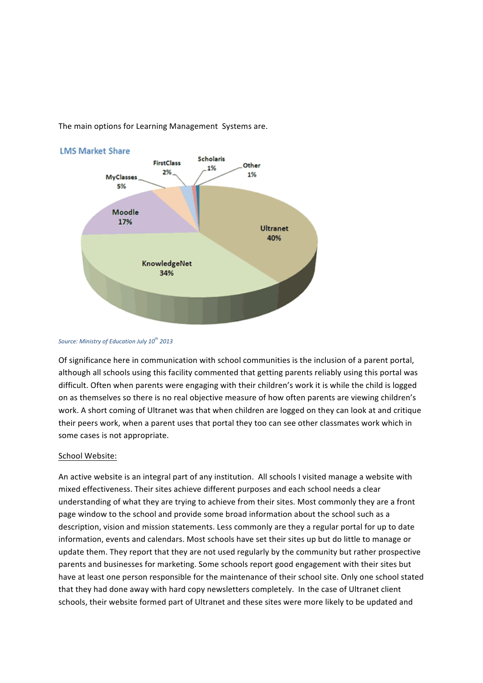The main options for Learning Management Systems are.



*Source:)Ministry)of)Education)July)10th 2013*

Of significance here in communication with school communities is the inclusion of a parent portal, although all schools using this facility commented that getting parents reliably using this portal was difficult. Often when parents were engaging with their children's work it is while the child is logged on as themselves so there is no real objective measure of how often parents are viewing children's work. A short coming of Ultranet was that when children are logged on they can look at and critique their peers work, when a parent uses that portal they too can see other classmates work which in some cases is not appropriate.

#### School Website:

An active website is an integral part of any institution. All schools I visited manage a website with mixed effectiveness. Their sites achieve different purposes and each school needs a clear understanding of what they are trying to achieve from their sites. Most commonly they are a front page window to the school and provide some broad information about the school such as a description, vision and mission statements. Less commonly are they a regular portal for up to date information, events and calendars. Most schools have set their sites up but do little to manage or update them. They report that they are not used regularly by the community but rather prospective parents and businesses for marketing. Some schools report good engagement with their sites but have at least one person responsible for the maintenance of their school site. Only one school stated that they had done away with hard copy newsletters completely. In the case of Ultranet client schools, their website formed part of Ultranet and these sites were more likely to be updated and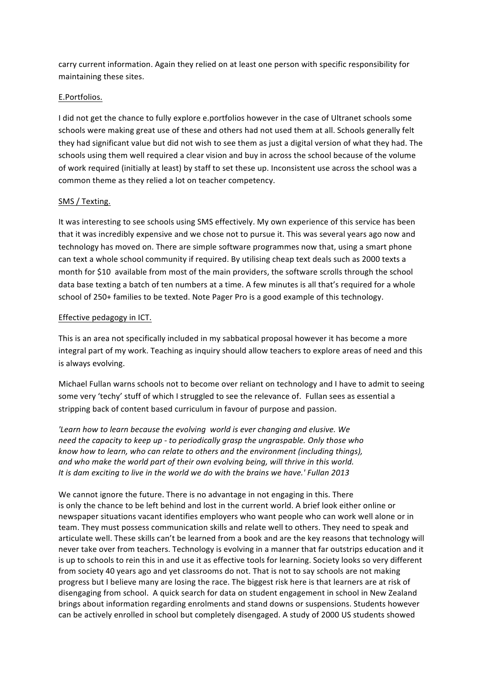carry current information. Again they relied on at least one person with specific responsibility for maintaining these sites.

# E.Portfolios.

I did not get the chance to fully explore e.portfolios however in the case of Ultranet schools some schools were making great use of these and others had not used them at all. Schools generally felt they had significant value but did not wish to see them as just a digital version of what they had. The schools using them well required a clear vision and buy in across the school because of the volume of work required (initially at least) by staff to set these up. Inconsistent use across the school was a common theme as they relied a lot on teacher competency.

## SMS / Texting.

It was interesting to see schools using SMS effectively. My own experience of this service has been that it was incredibly expensive and we chose not to pursue it. This was several years ago now and technology has moved on. There are simple software programmes now that, using a smart phone can text a whole school community if required. By utilising cheap text deals such as 2000 texts a month for \$10 available from most of the main providers, the software scrolls through the school data base texting a batch of ten numbers at a time. A few minutes is all that's required for a whole school of 250+ families to be texted. Note Pager Pro is a good example of this technology.

## Effective pedagogy in ICT.

This is an area not specifically included in my sabbatical proposal however it has become a more integral part of my work. Teaching as inquiry should allow teachers to explore areas of need and this is always evolving.

Michael Fullan warns schools not to become over reliant on technology and I have to admit to seeing some very 'techy' stuff of which I struggled to see the relevance of. Fullan sees as essential a stripping back of content based curriculum in favour of purpose and passion.

'Learn how to learn because the evolving world is ever changing and elusive. We *need the capacity to keep up - to periodically grasp the ungraspable. Only those who know)how)to)learn,)who)can)relate)to)others)and)the)environment)(including)things),* and who make the world part of their own evolving being, will thrive in this world. *It is dam exciting to live in the world we do with the brains we have.' Fullan 2013* 

We cannot ignore the future. There is no advantage in not engaging in this. There is only the chance to be left behind and lost in the current world. A brief look either online or newspaper situations vacant identifies employers who want people who can work well alone or in team. They must possess communication skills and relate well to others. They need to speak and articulate well. These skills can't be learned from a book and are the key reasons that technology will never take over from teachers. Technology is evolving in a manner that far outstrips education and it is up to schools to rein this in and use it as effective tools for learning. Society looks so very different from society 40 years ago and yet classrooms do not. That is not to say schools are not making progress but I believe many are losing the race. The biggest risk here is that learners are at risk of disengaging from school. A quick search for data on student engagement in school in New Zealand brings about information regarding enrolments and stand downs or suspensions. Students however can be actively enrolled in school but completely disengaged. A study of 2000 US students showed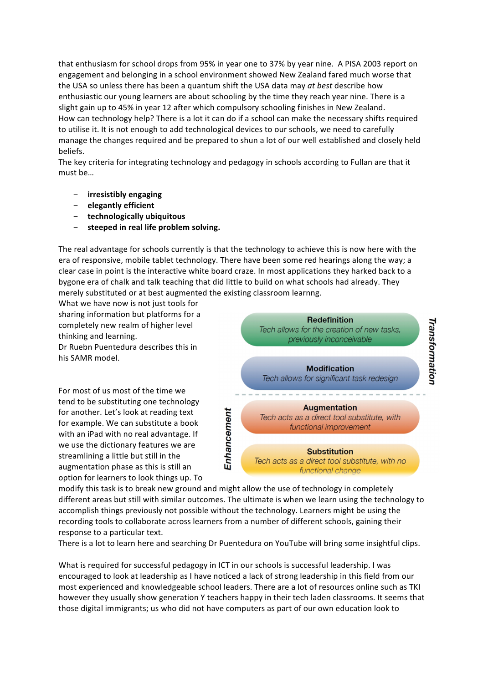that enthusiasm for school drops from 95% in year one to 37% by year nine. A PISA 2003 report on engagement and belonging in a school environment showed New Zealand fared much worse that the USA so unless there has been a quantum shift the USA data may *at best* describe how enthusiastic our young learners are about schooling by the time they reach year nine. There is a slight gain up to 45% in year 12 after which compulsory schooling finishes in New Zealand. How can technology help? There is a lot it can do if a school can make the necessary shifts required to utilise it. It is not enough to add technological devices to our schools, we need to carefully manage the changes required and be prepared to shun a lot of our well established and closely held beliefs.

The key criteria for integrating technology and pedagogy in schools according to Fullan are that it must be…

- **irresistibly)engaging**
- **elegantly)efficient**
- **technologically)ubiquitous**
- steeped in real life problem solving.

The real advantage for schools currently is that the technology to achieve this is now here with the era of responsive, mobile tablet technology. There have been some red hearings along the way; a clear case in point is the interactive white board craze. In most applications they harked back to a bygone era of chalk and talk teaching that did little to build on what schools had already. They merely substituted or at best augmented the existing classroom learnng.

What we have now is not just tools for sharing information but platforms for a completely new realm of higher level thinking and learning.

Dr Ruebn Puentedura describes this in his SAMR model.

For most of us most of the time we tend to be substituting one technology for another. Let's look at reading text for example. We can substitute a book with an iPad with no real advantage. If we use the dictionary features we are streamlining a little but still in the augmentation phase as this is still an option for learners to look things up. To



Tech acts as a direct tool substitute, with no functional change

modify this task is to break new ground and might allow the use of technology in completely different areas but still with similar outcomes. The ultimate is when we learn using the technology to accomplish things previously not possible without the technology. Learners might be using the recording tools to collaborate across learners from a number of different schools, gaining their response to a particular text.

There is a lot to learn here and searching Dr Puentedura on YouTube will bring some insightful clips.

What is required for successful pedagogy in ICT in our schools is successful leadership. I was encouraged to look at leadership as I have noticed a lack of strong leadership in this field from our most experienced and knowledgeable school leaders. There are a lot of resources online such as TKI however they usually show generation Y teachers happy in their tech laden classrooms. It seems that those digital immigrants; us who did not have computers as part of our own education look to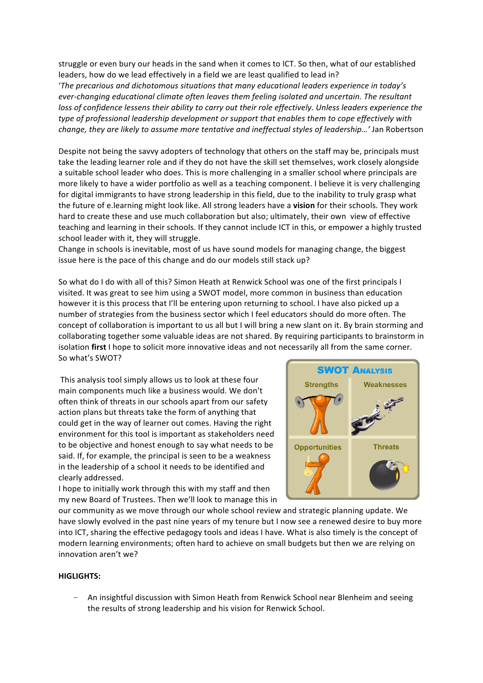struggle or even bury our heads in the sand when it comes to ICT. So then, what of our established leaders, how do we lead effectively in a field we are least qualified to lead in?

'The precarious and dichotomous situations that many educational leaders experience in today's ever-changing educational climate often leaves them feeling isolated and uncertain. The resultant loss of confidence lessens their ability to carry out their role effectively. Unless leaders experience the *type of professional leadership development or support that enables them to cope effectively with change,)they)are)likely)to)assume)more)tentative)and)ineffectual)styles)of)leadership…')*Jan&Robertson

Despite not being the savvy adopters of technology that others on the staff may be, principals must take the leading learner role and if they do not have the skill set themselves, work closely alongside a suitable school leader who does. This is more challenging in a smaller school where principals are more likely to have a wider portfolio as well as a teaching component. I believe it is very challenging for digital immigrants to have strong leadership in this field, due to the inability to truly grasp what the future of e.learning might look like. All strong leaders have a **vision** for their schools. They work hard to create these and use much collaboration but also; ultimately, their own view of effective teaching and learning in their schools. If they cannot include ICT in this, or empower a highly trusted school leader with it, they will struggle.

Change in schools is inevitable, most of us have sound models for managing change, the biggest issue here is the pace of this change and do our models still stack up?

So what do I do with all of this? Simon Heath at Renwick School was one of the first principals I visited. It was great to see him using a SWOT model, more common in business than education however it is this process that I'll be entering upon returning to school. I have also picked up a number of strategies from the business sector which I feel educators should do more often. The concept of collaboration is important to us all but I will bring a new slant on it. By brain storming and collaborating together some valuable ideas are not shared. By requiring participants to brainstorm in isolation first I hope to solicit more innovative ideas and not necessarily all from the same corner. So what's SWOT?

This analysis tool simply allows us to look at these four main components much like a business would. We don't often think of threats in our schools apart from our safety action plans but threats take the form of anything that could get in the way of learner out comes. Having the right environment for this tool is important as stakeholders need to be objective and honest enough to say what needs to be said. If, for example, the principal is seen to be a weakness in the leadership of a school it needs to be identified and clearly addressed.

I hope to initially work through this with my staff and then my new Board of Trustees. Then we'll look to manage this in



our community as we move through our whole school review and strategic planning update. We have slowly evolved in the past nine years of my tenure but I now see a renewed desire to buy more into ICT, sharing the effective pedagogy tools and ideas I have. What is also timely is the concept of modern learning environments; often hard to achieve on small budgets but then we are relying on innovation aren't we?

#### **HIGLIGHTS:**

An insightful discussion with Simon Heath from Renwick School near Blenheim and seeing the results of strong leadership and his vision for Renwick School.